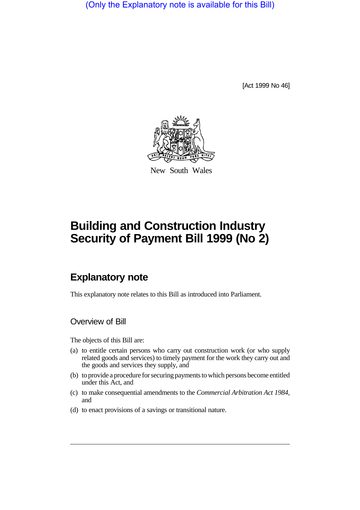(Only the Explanatory note is available for this Bill)

[Act 1999 No 46]



New South Wales

# **Building and Construction Industry Security of Payment Bill 1999 (No 2)**

# **Explanatory note**

This explanatory note relates to this Bill as introduced into Parliament.

Overview of Bill

The objects of this Bill are:

- (a) to entitle certain persons who carry out construction work (or who supply related goods and services) to timely payment for the work they carry out and the goods and services they supply, and
- (b) to provide a procedure for securing payments to which persons become entitled under this Act, and
- (c) to make consequential amendments to the *Commercial Arbitration Act 1984*, and
- (d) to enact provisions of a savings or transitional nature.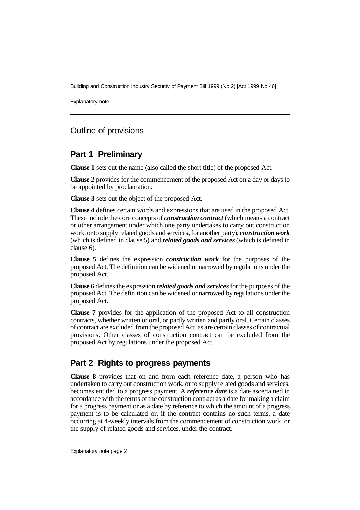Explanatory note

# Outline of provisions

# **Part 1 Preliminary**

**Clause 1** sets out the name (also called the short title) of the proposed Act.

**Clause 2** provides for the commencement of the proposed Act on a day or days to be appointed by proclamation.

**Clause 3** sets out the object of the proposed Act.

**Clause 4** defines certain words and expressions that are used in the proposed Act. These include the core concepts of *construction contract* (which means a contract or other arrangement under which one party undertakes to carry out construction work, or to supply related goods and services, for another party), *construction work* (which is defined in clause 5) and *related goods and services* (which is defined in clause 6).

**Clause 5** defines the expression *construction work* for the purposes of the proposed Act. The definition can be widened or narrowed by regulations under the proposed Act.

**Clause 6** defines the expression *related goods and services* for the purposes of the proposed Act. The definition can be widened or narrowed by regulations under the proposed Act.

**Clause 7** provides for the application of the proposed Act to all construction contracts, whether written or oral, or partly written and partly oral. Certain classes of contract are excluded from the proposed Act, as are certain classes of contractual provisions. Other classes of construction contract can be excluded from the proposed Act by regulations under the proposed Act.

## **Part 2 Rights to progress payments**

**Clause 8** provides that on and from each reference date, a person who has undertaken to carry out construction work, or to supply related goods and services, becomes entitled to a progress payment. A *reference date* is a date ascertained in accordance with the terms of the construction contract as a date for making a claim for a progress payment or as a date by reference to which the amount of a progress payment is to be calculated or, if the contract contains no such terms, a date occurring at 4-weekly intervals from the commencement of construction work, or the supply of related goods and services, under the contract.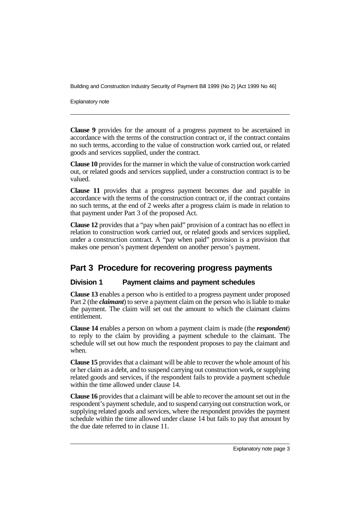Explanatory note

**Clause 9** provides for the amount of a progress payment to be ascertained in accordance with the terms of the construction contract or, if the contract contains no such terms, according to the value of construction work carried out, or related goods and services supplied, under the contract.

**Clause 10** provides for the manner in which the value of construction work carried out, or related goods and services supplied, under a construction contract is to be valued.

**Clause 11** provides that a progress payment becomes due and payable in accordance with the terms of the construction contract or, if the contract contains no such terms, at the end of 2 weeks after a progress claim is made in relation to that payment under Part 3 of the proposed Act.

**Clause 12** provides that a "pay when paid" provision of a contract has no effect in relation to construction work carried out, or related goods and services supplied, under a construction contract. A "pay when paid" provision is a provision that makes one person's payment dependent on another person's payment.

# **Part 3 Procedure for recovering progress payments**

#### **Division 1 Payment claims and payment schedules**

**Clause 13** enables a person who is entitled to a progress payment under proposed Part 2 (the *claimant*) to serve a payment claim on the person who is liable to make the payment. The claim will set out the amount to which the claimant claims entitlement.

**Clause 14** enables a person on whom a payment claim is made (the *respondent*) to reply to the claim by providing a payment schedule to the claimant. The schedule will set out how much the respondent proposes to pay the claimant and when.

**Clause 15** provides that a claimant will be able to recover the whole amount of his or her claim as a debt, and to suspend carrying out construction work, or supplying related goods and services, if the respondent fails to provide a payment schedule within the time allowed under clause 14.

**Clause 16** provides that a claimant will be able to recover the amount set out in the respondent's payment schedule, and to suspend carrying out construction work, or supplying related goods and services, where the respondent provides the payment schedule within the time allowed under clause 14 but fails to pay that amount by the due date referred to in clause 11.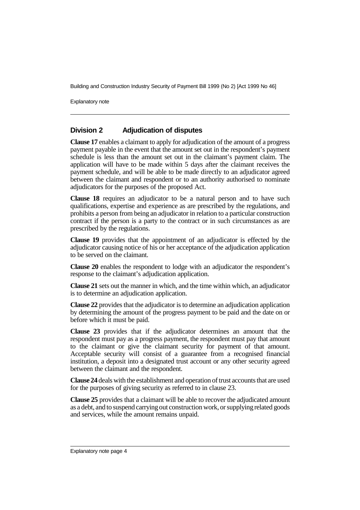Explanatory note

#### **Division 2 Adjudication of disputes**

**Clause 17** enables a claimant to apply for adjudication of the amount of a progress payment payable in the event that the amount set out in the respondent's payment schedule is less than the amount set out in the claimant's payment claim. The application will have to be made within 5 days after the claimant receives the payment schedule, and will be able to be made directly to an adjudicator agreed between the claimant and respondent or to an authority authorised to nominate adjudicators for the purposes of the proposed Act.

**Clause 18** requires an adjudicator to be a natural person and to have such qualifications, expertise and experience as are prescribed by the regulations, and prohibits a person from being an adjudicator in relation to a particular construction contract if the person is a party to the contract or in such circumstances as are prescribed by the regulations.

**Clause 19** provides that the appointment of an adjudicator is effected by the adjudicator causing notice of his or her acceptance of the adjudication application to be served on the claimant.

**Clause 20** enables the respondent to lodge with an adjudicator the respondent's response to the claimant's adjudication application.

**Clause 21** sets out the manner in which, and the time within which, an adjudicator is to determine an adjudication application.

**Clause 22** provides that the adjudicator is to determine an adjudication application by determining the amount of the progress payment to be paid and the date on or before which it must be paid.

**Clause 23** provides that if the adjudicator determines an amount that the respondent must pay as a progress payment, the respondent must pay that amount to the claimant or give the claimant security for payment of that amount. Acceptable security will consist of a guarantee from a recognised financial institution, a deposit into a designated trust account or any other security agreed between the claimant and the respondent.

**Clause 24** deals with the establishment and operation of trust accounts that are used for the purposes of giving security as referred to in clause 23.

**Clause 25** provides that a claimant will be able to recover the adjudicated amount as a debt, and to suspend carrying out construction work, or supplying related goods and services, while the amount remains unpaid.

Explanatory note page 4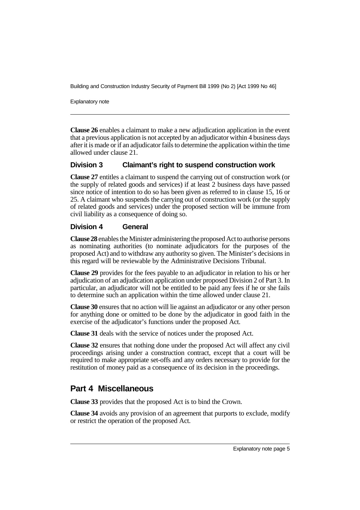Explanatory note

**Clause 26** enables a claimant to make a new adjudication application in the event that a previous application is not accepted by an adjudicator within 4 business days after it is made or if an adjudicator fails to determine the application within the time allowed under clause 21.

#### **Division 3 Claimant's right to suspend construction work**

**Clause 27** entitles a claimant to suspend the carrying out of construction work (or the supply of related goods and services) if at least 2 business days have passed since notice of intention to do so has been given as referred to in clause 15, 16 or 25. A claimant who suspends the carrying out of construction work (or the supply of related goods and services) under the proposed section will be immune from civil liability as a consequence of doing so.

#### **Division 4 General**

**Clause 28** enables the Minister administering the proposed Act to authorise persons as nominating authorities (to nominate adjudicators for the purposes of the proposed Act) and to withdraw any authority so given. The Minister's decisions in this regard will be reviewable by the Administrative Decisions Tribunal.

**Clause 29** provides for the fees payable to an adjudicator in relation to his or her adjudication of an adjudication application under proposed Division 2 of Part 3. In particular, an adjudicator will not be entitled to be paid any fees if he or she fails to determine such an application within the time allowed under clause 21.

**Clause 30** ensures that no action will lie against an adjudicator or any other person for anything done or omitted to be done by the adjudicator in good faith in the exercise of the adjudicator's functions under the proposed Act.

**Clause 31** deals with the service of notices under the proposed Act.

**Clause 32** ensures that nothing done under the proposed Act will affect any civil proceedings arising under a construction contract, except that a court will be required to make appropriate set-offs and any orders necessary to provide for the restitution of money paid as a consequence of its decision in the proceedings.

## **Part 4 Miscellaneous**

**Clause 33** provides that the proposed Act is to bind the Crown.

**Clause 34** avoids any provision of an agreement that purports to exclude, modify or restrict the operation of the proposed Act.